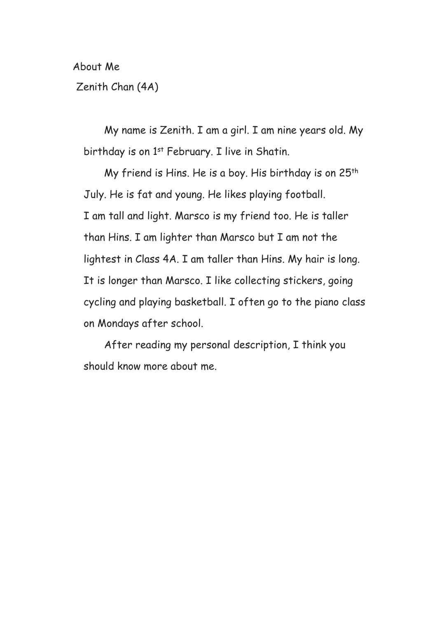About Me

Zenith Chan (4A)

My name is Zenith. I am a girl. I am nine years old. My birthday is on 1st February. I live in Shatin.

My friend is Hins. He is a boy. His birthday is on 25<sup>th</sup> July. He is fat and young. He likes playing football. I am tall and light. Marsco is my friend too. He is taller than Hins. I am lighter than Marsco but I am not the lightest in Class 4A. I am taller than Hins. My hair is long. It is longer than Marsco. I like collecting stickers, going cycling and playing basketball. I often go to the piano class on Mondays after school.

 After reading my personal description, I think you should know more about me.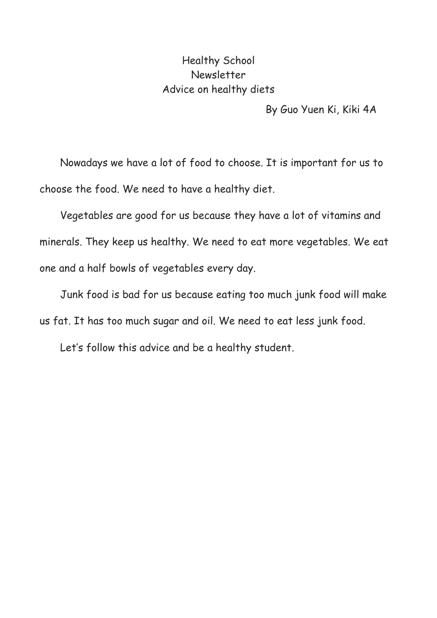## Healthy School Newsletter Advice on healthy diets

By Guo Yuen Ki, Kiki 4A

Nowadays we have a lot of food to choose. It is important for us to choose the food. We need to have a healthy diet.

 Vegetables are good for us because they have a lot of vitamins and minerals. They keep us healthy. We need to eat more vegetables. We eat one and a half bowls of vegetables every day.

 Junk food is bad for us because eating too much junk food will make us fat. It has too much sugar and oil. We need to eat less junk food.

Let's follow this advice and be a healthy student.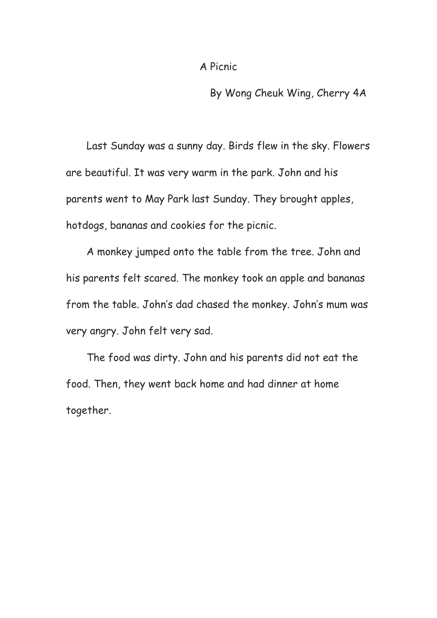By Wong Cheuk Wing, Cherry 4A

Last Sunday was a sunny day. Birds flew in the sky. Flowers are beautiful. It was very warm in the park. John and his parents went to May Park last Sunday. They brought apples, hotdogs, bananas and cookies for the picnic.

 A monkey jumped onto the table from the tree. John and his parents felt scared. The monkey took an apple and bananas from the table. John's dad chased the monkey. John's mum was very angry. John felt very sad.

 The food was dirty. John and his parents did not eat the food. Then, they went back home and had dinner at home together.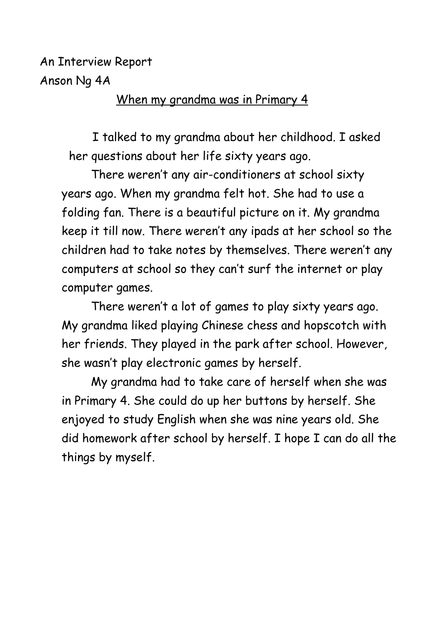An Interview Report Anson Ng 4A

## When my grandma was in Primary 4

 I talked to my grandma about her childhood. I asked her questions about her life sixty years ago.

There weren't any air-conditioners at school sixty years ago. When my grandma felt hot. She had to use a folding fan. There is a beautiful picture on it. My grandma keep it till now. There weren't any ipads at her school so the children had to take notes by themselves. There weren't any computers at school so they can't surf the internet or play computer games.

There weren't a lot of games to play sixty years ago. My grandma liked playing Chinese chess and hopscotch with her friends. They played in the park after school. However, she wasn't play electronic games by herself.

My grandma had to take care of herself when she was in Primary 4. She could do up her buttons by herself. She enjoyed to study English when she was nine years old. She did homework after school by herself. I hope I can do all the things by myself.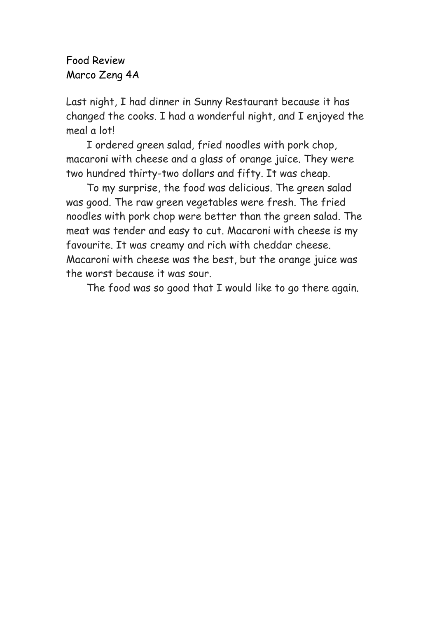Food Review Marco Zeng 4A

Last night, I had dinner in Sunny Restaurant because it has changed the cooks. I had a wonderful night, and I enjoyed the meal a lot!

 I ordered green salad, fried noodles with pork chop, macaroni with cheese and a glass of orange juice. They were two hundred thirty-two dollars and fifty. It was cheap.

 To my surprise, the food was delicious. The green salad was good. The raw green vegetables were fresh. The fried noodles with pork chop were better than the green salad. The meat was tender and easy to cut. Macaroni with cheese is my favourite. It was creamy and rich with cheddar cheese. Macaroni with cheese was the best, but the orange juice was the worst because it was sour.

The food was so good that I would like to go there again.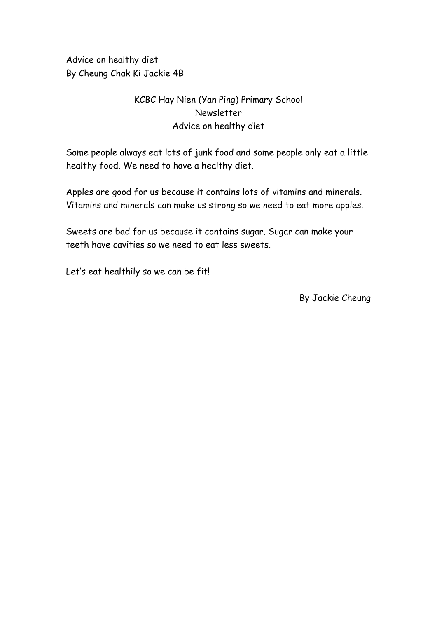Advice on healthy diet By Cheung Chak Ki Jackie 4B

## KCBC Hay Nien (Yan Ping) Primary School Newsletter Advice on healthy diet

Some people always eat lots of junk food and some people only eat a little healthy food. We need to have a healthy diet.

Apples are good for us because it contains lots of vitamins and minerals. Vitamins and minerals can make us strong so we need to eat more apples.

Sweets are bad for us because it contains sugar. Sugar can make your teeth have cavities so we need to eat less sweets.

Let's eat healthily so we can be fit!

By Jackie Cheung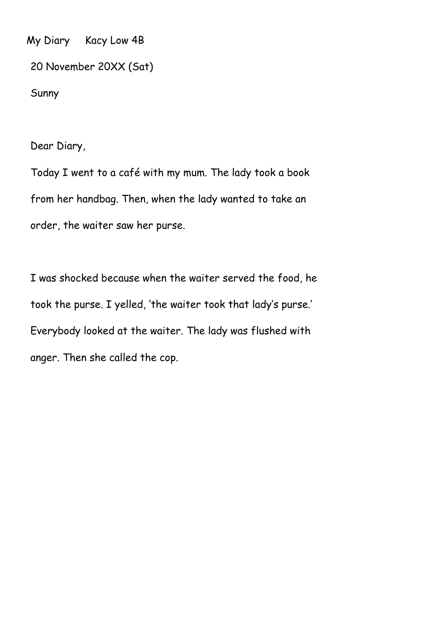My Diary Kacy Low 4B

20 November 20XX (Sat)

Sunny

Dear Diary,

Today I went to a café with my mum. The lady took a book from her handbag. Then, when the lady wanted to take an order, the waiter saw her purse.

I was shocked because when the waiter served the food, he took the purse. I yelled, 'the waiter took that lady's purse.' Everybody looked at the waiter. The lady was flushed with anger. Then she called the cop.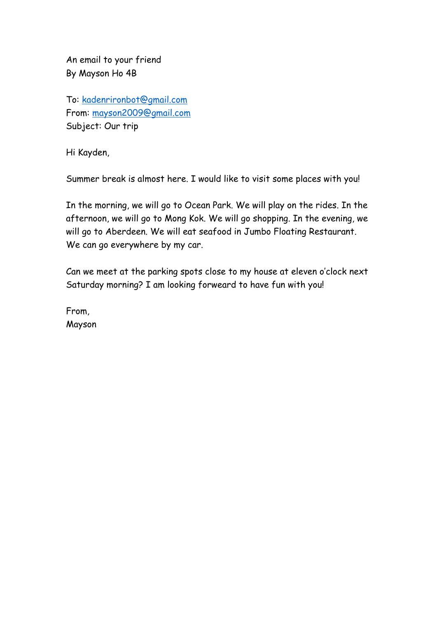An email to your friend By Mayson Ho 4B

To: [kadenrironbot@gmail.com](mailto:kadenrironbot@gmail.com) From: [mayson2009@gmail.com](mailto:mayson2009@gmail.com) Subject: Our trip

Hi Kayden,

Summer break is almost here. I would like to visit some places with you!

In the morning, we will go to Ocean Park. We will play on the rides. In the afternoon, we will go to Mong Kok. We will go shopping. In the evening, we will go to Aberdeen. We will eat seafood in Jumbo Floating Restaurant. We can go everywhere by my car.

Can we meet at the parking spots close to my house at eleven o'clock next Saturday morning? I am looking forweard to have fun with you!

From, Mayson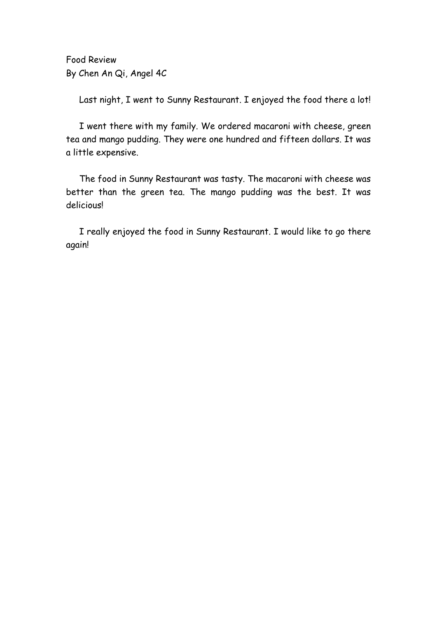Food Review By Chen An Qi, Angel 4C

Last night, I went to Sunny Restaurant. I enjoyed the food there a lot!

I went there with my family. We ordered macaroni with cheese, green tea and mango pudding. They were one hundred and fifteen dollars. It was a little expensive.

The food in Sunny Restaurant was tasty. The macaroni with cheese was better than the green tea. The mango pudding was the best. It was delicious!

I really enjoyed the food in Sunny Restaurant. I would like to go there again!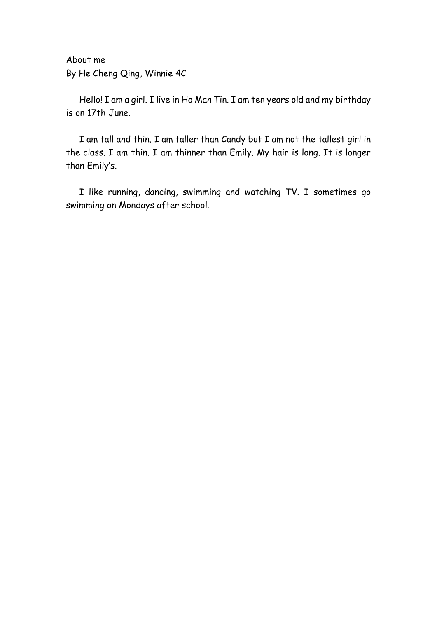About me By He Cheng Qing, Winnie 4C

Hello! I am a girl. I live in Ho Man Tin. I am ten years old and my birthday is on 17th June.

I am tall and thin. I am taller than Candy but I am not the tallest girl in the class. I am thin. I am thinner than Emily. My hair is long. It is longer than Emily's.

I like running, dancing, swimming and watching TV. I sometimes go swimming on Mondays after school.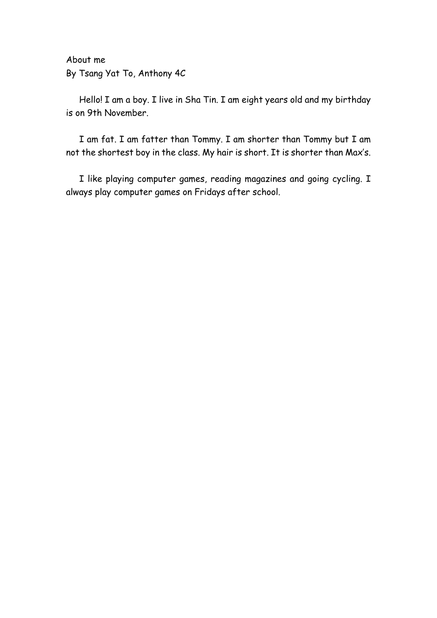About me By Tsang Yat To, Anthony 4C

Hello! I am a boy. I live in Sha Tin. I am eight years old and my birthday is on 9th November.

I am fat. I am fatter than Tommy. I am shorter than Tommy but I am not the shortest boy in the class. My hair is short. It is shorter than Max's.

I like playing computer games, reading magazines and going cycling. I always play computer games on Fridays after school.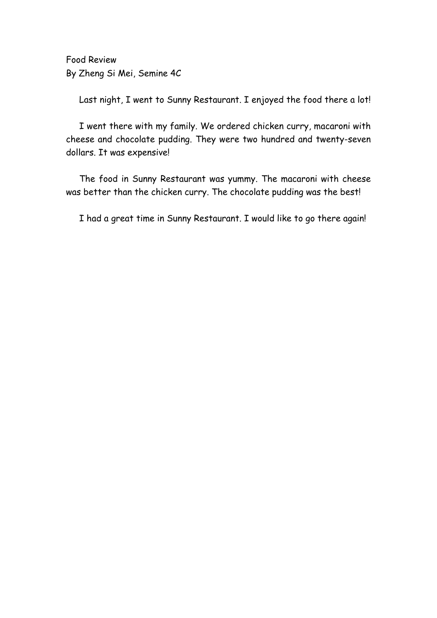Food Review By Zheng Si Mei, Semine 4C

Last night, I went to Sunny Restaurant. I enjoyed the food there a lot!

I went there with my family. We ordered chicken curry, macaroni with cheese and chocolate pudding. They were two hundred and twenty-seven dollars. It was expensive!

The food in Sunny Restaurant was yummy. The macaroni with cheese was better than the chicken curry. The chocolate pudding was the best!

I had a great time in Sunny Restaurant. I would like to go there again!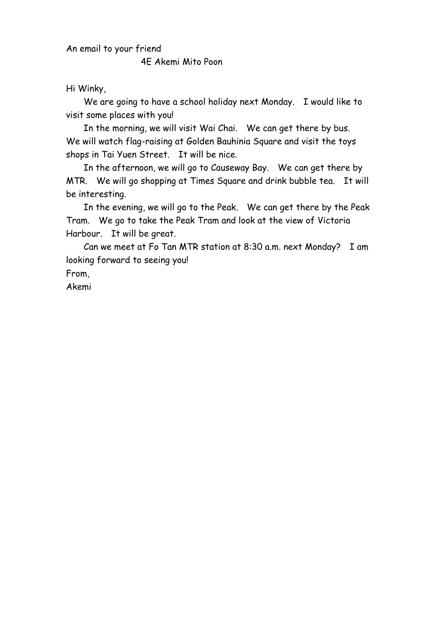An email to your friend

4E Akemi Mito Poon

Hi Winky,

We are going to have a school holiday next Monday. I would like to visit some places with you!

In the morning, we will visit Wai Chai. We can get there by bus. We will watch flag-raising at Golden Bauhinia Square and visit the toys shops in Tai Yuen Street. It will be nice.

In the afternoon, we will go to Causeway Bay. We can get there by MTR. We will go shopping at Times Square and drink bubble tea. It will be interesting.

In the evening, we will go to the Peak. We can get there by the Peak Tram. We go to take the Peak Tram and look at the view of Victoria Harbour. It will be great.

Can we meet at Fo Tan MTR station at 8:30 a.m. next Monday? I am looking forward to seeing you!

From,

Akemi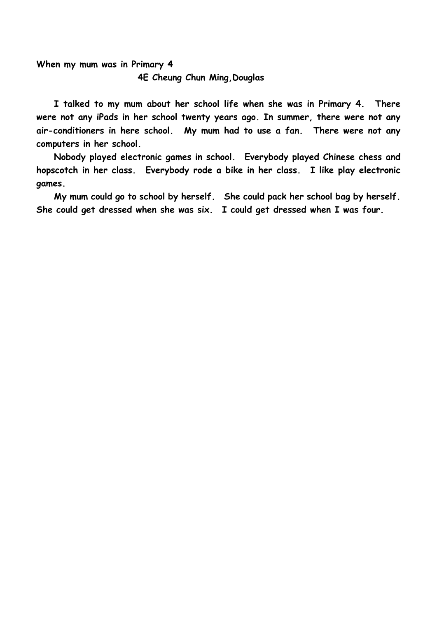**When my mum was in Primary 4 4E Cheung Chun Ming,Douglas**

**I talked to my mum about her school life when she was in Primary 4. There were not any iPads in her school twenty years ago. In summer, there were not any air-conditioners in here school. My mum had to use a fan. There were not any computers in her school.**

**Nobody played electronic games in school. Everybody played Chinese chess and hopscotch in her class. Everybody rode a bike in her class. I like play electronic games.**

**My mum could go to school by herself. She could pack her school bag by herself. She could get dressed when she was six. I could get dressed when I was four.**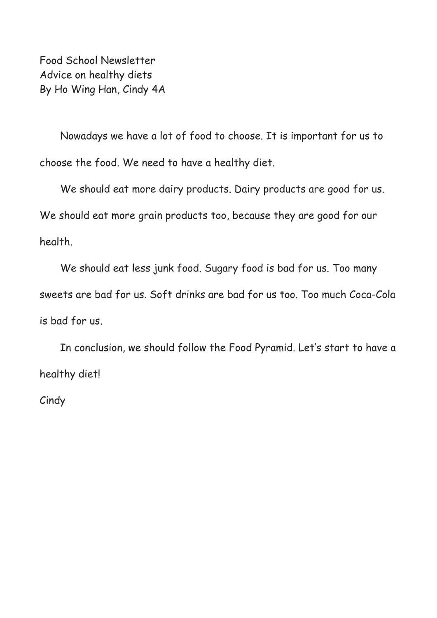Food School Newsletter Advice on healthy diets By Ho Wing Han, Cindy 4A

 Nowadays we have a lot of food to choose. It is important for us to choose the food. We need to have a healthy diet.

 We should eat more dairy products. Dairy products are good for us. We should eat more grain products too, because they are good for our health.

 We should eat less junk food. Sugary food is bad for us. Too many sweets are bad for us. Soft drinks are bad for us too. Too much Coca-Cola is bad for us.

 In conclusion, we should follow the Food Pyramid. Let's start to have a healthy diet!

**Cindy**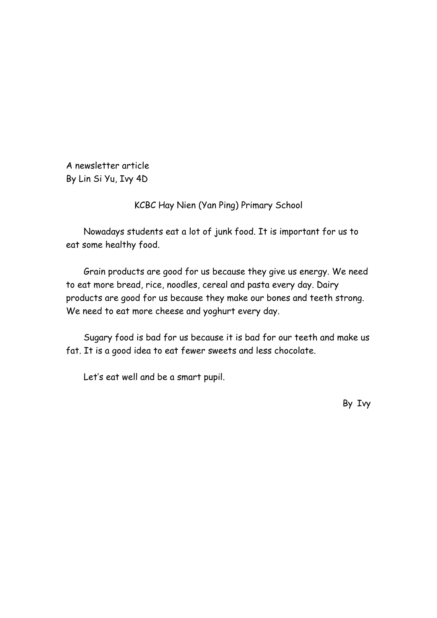A newsletter article By Lin Si Yu, Ivy 4D

KCBC Hay Nien (Yan Ping) Primary School

Nowadays students eat a lot of junk food. It is important for us to eat some healthy food.

Grain products are good for us because they give us energy. We need to eat more bread, rice, noodles, cereal and pasta every day. Dairy products are good for us because they make our bones and teeth strong. We need to eat more cheese and yoghurt every day.

Sugary food is bad for us because it is bad for our teeth and make us fat. It is a good idea to eat fewer sweets and less chocolate.

Let's eat well and be a smart pupil.

By Ivy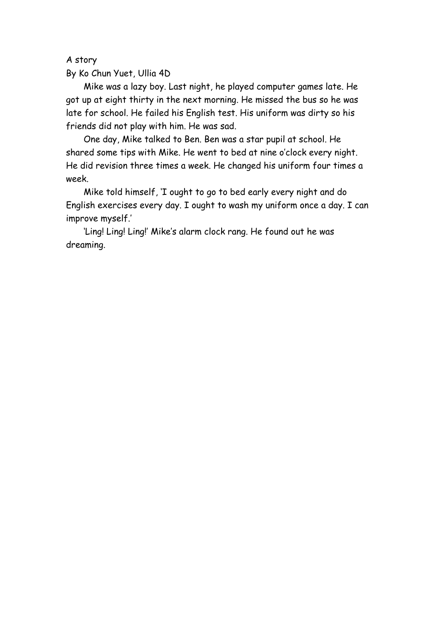A story

By Ko Chun Yuet, Ullia 4D

Mike was a lazy boy. Last night, he played computer games late. He got up at eight thirty in the next morning. He missed the bus so he was late for school. He failed his English test. His uniform was dirty so his friends did not play with him. He was sad.

One day, Mike talked to Ben. Ben was a star pupil at school. He shared some tips with Mike. He went to bed at nine o'clock every night. He did revision three times a week. He changed his uniform four times a week.

Mike told himself, 'I ought to go to bed early every night and do English exercises every day. I ought to wash my uniform once a day. I can improve myself.'

'Ling! Ling! Ling!' Mike's alarm clock rang. He found out he was dreaming.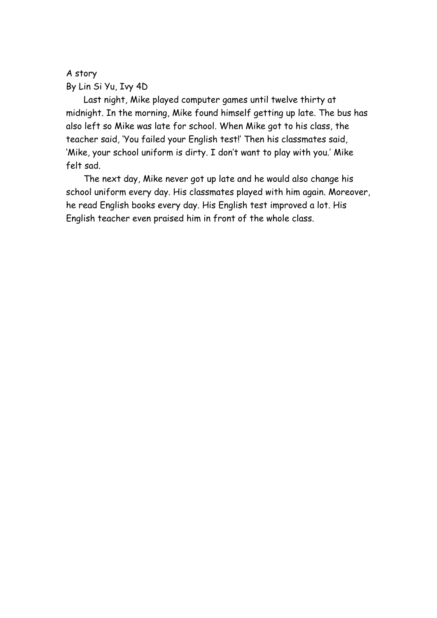## A story By Lin Si Yu, Ivy 4D

Last night, Mike played computer games until twelve thirty at midnight. In the morning, Mike found himself getting up late. The bus has also left so Mike was late for school. When Mike got to his class, the teacher said, 'You failed your English test!' Then his classmates said, 'Mike, your school uniform is dirty. I don't want to play with you.' Mike felt sad.

The next day, Mike never got up late and he would also change his school uniform every day. His classmates played with him again. Moreover, he read English books every day. His English test improved a lot. His English teacher even praised him in front of the whole class.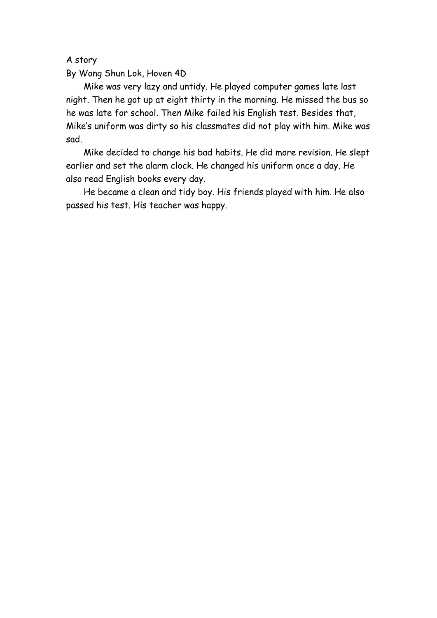A story

By Wong Shun Lok, Hoven 4D

Mike was very lazy and untidy. He played computer games late last night. Then he got up at eight thirty in the morning. He missed the bus so he was late for school. Then Mike failed his English test. Besides that, Mike's uniform was dirty so his classmates did not play with him. Mike was sad.

Mike decided to change his bad habits. He did more revision. He slept earlier and set the alarm clock. He changed his uniform once a day. He also read English books every day.

He became a clean and tidy boy. His friends played with him. He also passed his test. His teacher was happy.